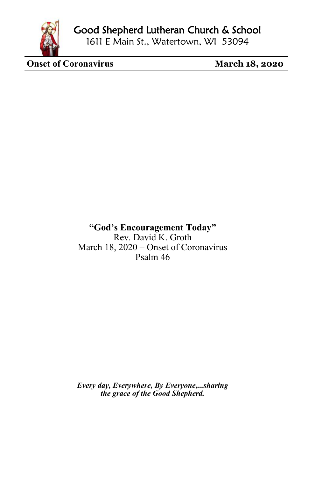

Good Shepherd Lutheran Church & School

1611 E Main St., Watertown, WI 53094

**Onset of Coronavirus** March 18, 2020

**"God's Encouragement Today"** Rev. David K. Groth March 18, 2020 – Onset of Coronavirus Psalm 46

*Every day, Everywhere, By Everyone,...sharing the grace of the Good Shepherd.*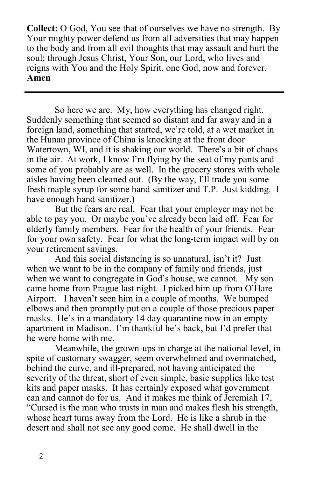**Collect:** O God, You see that of ourselves we have no strength. By Your mighty power defend us from all adversities that may happen to the body and from all evil thoughts that may assault and hurt the soul; through Jesus Christ, Your Son, our Lord, who lives and reigns with You and the Holy Spirit, one God, now and forever. **Amen**

So here we are. My, how everything has changed right. Suddenly something that seemed so distant and far away and in a foreign land, something that started, we're told, at a wet market in the Hunan province of China is knocking at the front door Watertown, WI, and it is shaking our world. There's a bit of chaos in the air. At work, I know I'm flying by the seat of my pants and some of you probably are as well. In the grocery stores with whole aisles having been cleaned out. (By the way, I'll trade you some fresh maple syrup for some hand sanitizer and T.P. Just kidding. I have enough hand sanitizer.)

But the fears are real. Fear that your employer may not be able to pay you. Or maybe you've already been laid off. Fear for elderly family members. Fear for the health of your friends. Fear for your own safety. Fear for what the long-term impact will by on your retirement savings.

And this social distancing is so unnatural, isn't it? Just when we want to be in the company of family and friends, just when we want to congregate in God's house, we cannot. My son came home from Prague last night. I picked him up from O'Hare Airport. I haven't seen him in a couple of months. We bumped elbows and then promptly put on a couple of those precious paper masks. He's in a mandatory 14 day quarantine now in an empty apartment in Madison. I'm thankful he's back, but I'd prefer that he were home with me.

Meanwhile, the grown-ups in charge at the national level, in spite of customary swagger, seem overwhelmed and overmatched, behind the curve, and ill-prepared, not having anticipated the severity of the threat, short of even simple, basic supplies like test kits and paper masks. It has certainly exposed what government can and cannot do for us. And it makes me think of Jeremiah 17, "Cursed is the man who trusts in man and makes flesh his strength, whose heart turns away from the Lord. He is like a shrub in the desert and shall not see any good come. He shall dwell in the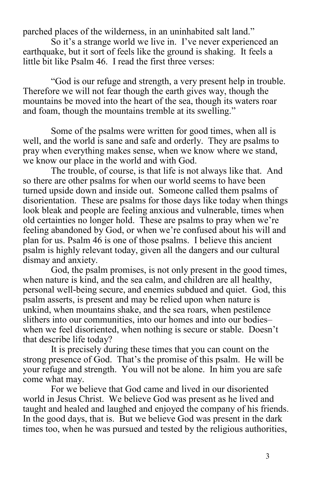parched places of the wilderness, in an uninhabited salt land."

So it's a strange world we live in. I've never experienced an earthquake, but it sort of feels like the ground is shaking. It feels a little bit like Psalm 46. I read the first three verses:

"God is our refuge and strength, a very present help in trouble. Therefore we will not fear though the earth gives way, though the mountains be moved into the heart of the sea, though its waters roar and foam, though the mountains tremble at its swelling."

Some of the psalms were written for good times, when all is well, and the world is sane and safe and orderly. They are psalms to pray when everything makes sense, when we know where we stand, we know our place in the world and with God.

The trouble, of course, is that life is not always like that. And so there are other psalms for when our world seems to have been turned upside down and inside out. Someone called them psalms of disorientation. These are psalms for those days like today when things look bleak and people are feeling anxious and vulnerable, times when old certainties no longer hold. These are psalms to pray when we're feeling abandoned by God, or when we're confused about his will and plan for us. Psalm 46 is one of those psalms. I believe this ancient psalm is highly relevant today, given all the dangers and our cultural dismay and anxiety.

God, the psalm promises, is not only present in the good times, when nature is kind, and the sea calm, and children are all healthy, personal well-being secure, and enemies subdued and quiet. God, this psalm asserts, is present and may be relied upon when nature is unkind, when mountains shake, and the sea roars, when pestilence slithers into our communities, into our homes and into our bodies– when we feel disoriented, when nothing is secure or stable. Doesn't that describe life today?

It is precisely during these times that you can count on the strong presence of God. That's the promise of this psalm. He will be your refuge and strength. You will not be alone. In him you are safe come what may.

For we believe that God came and lived in our disoriented world in Jesus Christ. We believe God was present as he lived and taught and healed and laughed and enjoyed the company of his friends. In the good days, that is. But we believe God was present in the dark times too, when he was pursued and tested by the religious authorities,